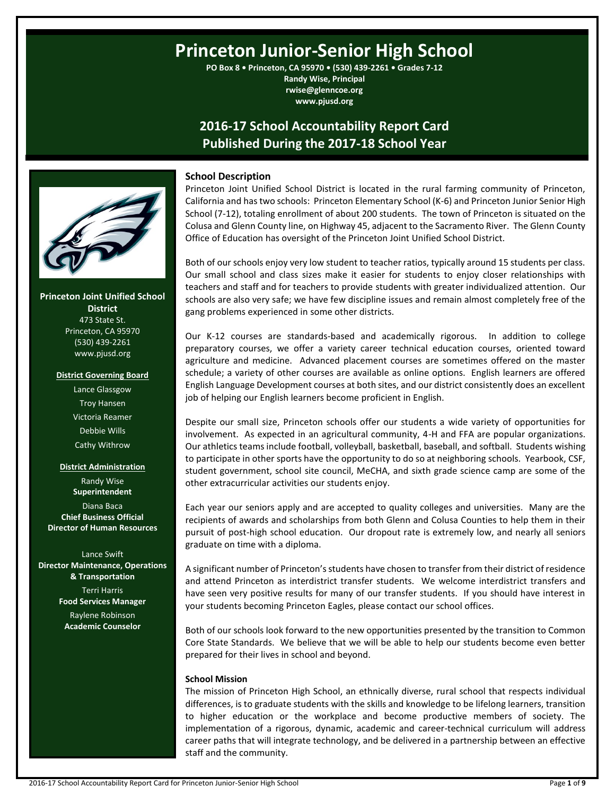# **Princeton Junior-Senior High School**

**PO Box 8 • Princeton, CA 95970 • (530) 439-2261 • Grades 7-12 Randy Wise, Principal rwise@glenncoe.org www.pjusd.org**

## **2016-17 School Accountability Report Card Published During the 2017-18 School Year**



**Princeton Joint Unified School District** 473 State St. Princeton, CA 95970 (530) 439-2261 www.pjusd.org

#### **District Governing Board**

Lance Glassgow Troy Hansen Victoria Reamer Debbie Wills Cathy Withrow

### **District Administration**

Randy Wise **Superintendent** Diana Baca **Chief Business Official Director of Human Resources**

Lance Swift **Director Maintenance, Operations & Transportation** Terri Harris **Food Services Manager** Raylene Robinson **Academic Counselor**

### **School Description**

Princeton Joint Unified School District is located in the rural farming community of Princeton, California and has two schools: Princeton Elementary School (K-6) and Princeton Junior Senior High School (7-12), totaling enrollment of about 200 students. The town of Princeton is situated on the Colusa and Glenn County line, on Highway 45, adjacent to the Sacramento River. The Glenn County Office of Education has oversight of the Princeton Joint Unified School District.

Both of our schools enjoy very low student to teacher ratios, typically around 15 students per class. Our small school and class sizes make it easier for students to enjoy closer relationships with teachers and staff and for teachers to provide students with greater individualized attention. Our schools are also very safe; we have few discipline issues and remain almost completely free of the gang problems experienced in some other districts.

Our K-12 courses are standards-based and academically rigorous. In addition to college preparatory courses, we offer a variety career technical education courses, oriented toward agriculture and medicine. Advanced placement courses are sometimes offered on the master schedule; a variety of other courses are available as online options. English learners are offered English Language Development courses at both sites, and our district consistently does an excellent job of helping our English learners become proficient in English.

Despite our small size, Princeton schools offer our students a wide variety of opportunities for involvement. As expected in an agricultural community, 4-H and FFA are popular organizations. Our athletics teams include football, volleyball, basketball, baseball, and softball. Students wishing to participate in other sports have the opportunity to do so at neighboring schools. Yearbook, CSF, student government, school site council, MeCHA, and sixth grade science camp are some of the other extracurricular activities our students enjoy.

Each year our seniors apply and are accepted to quality colleges and universities. Many are the recipients of awards and scholarships from both Glenn and Colusa Counties to help them in their pursuit of post-high school education. Our dropout rate is extremely low, and nearly all seniors graduate on time with a diploma.

A significant number of Princeton's students have chosen to transfer from their district of residence and attend Princeton as interdistrict transfer students. We welcome interdistrict transfers and have seen very positive results for many of our transfer students. If you should have interest in your students becoming Princeton Eagles, please contact our school offices.

Both of our schools look forward to the new opportunities presented by the transition to Common Core State Standards. We believe that we will be able to help our students become even better prepared for their lives in school and beyond.

### **School Mission**

The mission of Princeton High School, an ethnically diverse, rural school that respects individual differences, is to graduate students with the skills and knowledge to be lifelong learners, transition to higher education or the workplace and become productive members of society. The implementation of a rigorous, dynamic, academic and career-technical curriculum will address career paths that will integrate technology, and be delivered in a partnership between an effective staff and the community.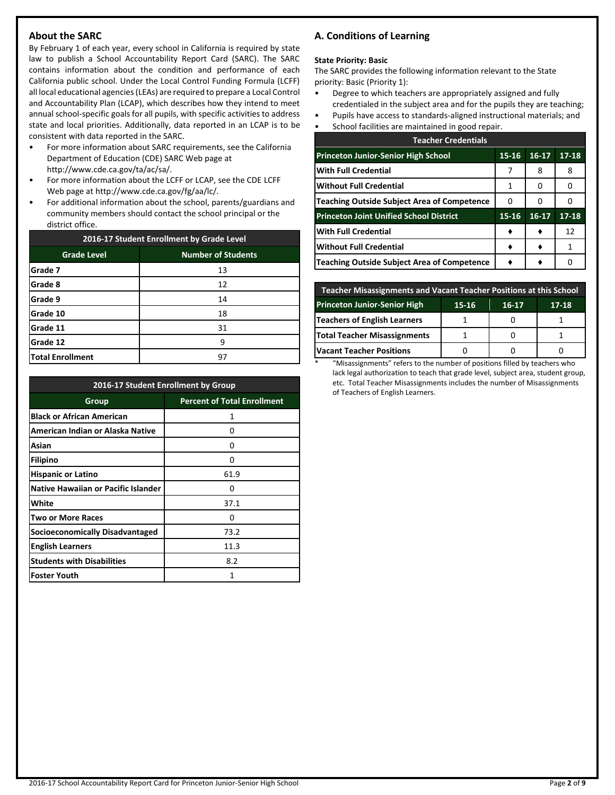### **About the SARC**

By February 1 of each year, every school in California is required by state law to publish a School Accountability Report Card (SARC). The SARC contains information about the condition and performance of each California public school. Under the Local Control Funding Formula (LCFF) all local educational agencies (LEAs) are required to prepare a Local Control and Accountability Plan (LCAP), which describes how they intend to meet annual school-specific goals for all pupils, with specific activities to address state and local priorities. Additionally, data reported in an LCAP is to be consistent with data reported in the SARC.

- For more information about SARC requirements, see the California Department of Education (CDE) SARC Web page at http://www.cde.ca.gov/ta/ac/sa/.
- For more information about the LCFF or LCAP, see the CDE LCFF Web page at http://www.cde.ca.gov/fg/aa/lc/.
- For additional information about the school, parents/guardians and community members should contact the school principal or the district office.

| 2016-17 Student Enrollment by Grade Level |                           |  |  |  |
|-------------------------------------------|---------------------------|--|--|--|
| <b>Grade Level</b>                        | <b>Number of Students</b> |  |  |  |
| Grade 7                                   | 13                        |  |  |  |
| Grade 8                                   | 12                        |  |  |  |
| Grade 9                                   | 14                        |  |  |  |
| Grade 10                                  | 18                        |  |  |  |
| Grade 11                                  | 31                        |  |  |  |
| Grade 12                                  | ٩                         |  |  |  |
| <b>Total Enrollment</b>                   | 97                        |  |  |  |

| 2016-17 Student Enrollment by Group        |                                    |  |  |  |
|--------------------------------------------|------------------------------------|--|--|--|
| Group                                      | <b>Percent of Total Enrollment</b> |  |  |  |
| <b>Black or African American</b>           | 1                                  |  |  |  |
| American Indian or Alaska Native           | O                                  |  |  |  |
| Asian                                      | ი                                  |  |  |  |
| Filipino                                   | ი                                  |  |  |  |
| <b>Hispanic or Latino</b>                  | 61.9                               |  |  |  |
| <b>Native Hawaiian or Pacific Islander</b> | o                                  |  |  |  |
| White                                      | 37.1                               |  |  |  |
| <b>Two or More Races</b>                   | Ω                                  |  |  |  |
| Socioeconomically Disadvantaged            | 73.2                               |  |  |  |
| <b>English Learners</b>                    | 11.3                               |  |  |  |
| <b>Students with Disabilities</b>          | 8.2                                |  |  |  |
| <b>Foster Youth</b>                        | 1                                  |  |  |  |

### **A. Conditions of Learning**

#### **State Priority: Basic**

The SARC provides the following information relevant to the State priority: Basic (Priority 1):

- Degree to which teachers are appropriately assigned and fully credentialed in the subject area and for the pupils they are teaching;
- Pupils have access to standards-aligned instructional materials; and
- School facilities are maintained in good repair.

| <b>Teacher Credentials</b>                         |           |           |           |  |  |  |
|----------------------------------------------------|-----------|-----------|-----------|--|--|--|
| <b>Princeton Junior-Senior High School</b>         | $15 - 16$ | $16 - 17$ | $17 - 18$ |  |  |  |
| <b>With Full Credential</b>                        |           | 8         | 8         |  |  |  |
| <b>Without Full Credential</b>                     | 1         | O         | O         |  |  |  |
| <b>Teaching Outside Subject Area of Competence</b> | 0         | O         |           |  |  |  |
| <b>Princeton Joint Unified School District</b>     | 15-16     | $16-17$   | $17 - 18$ |  |  |  |
| <b>With Full Credential</b>                        |           |           | 12        |  |  |  |
| <b>Without Full Credential</b>                     |           |           | 1         |  |  |  |
| <b>Teaching Outside Subject Area of Competence</b> |           |           | Ω         |  |  |  |

| <b>Teacher Misassignments and Vacant Teacher Positions at this School</b> |  |  |  |  |  |  |  |  |
|---------------------------------------------------------------------------|--|--|--|--|--|--|--|--|
| <b>Princeton Junior-Senior High</b><br>15-16<br>16-17<br>$17 - 18$        |  |  |  |  |  |  |  |  |
| Teachers of English Learners                                              |  |  |  |  |  |  |  |  |
| Total Teacher Misassignments                                              |  |  |  |  |  |  |  |  |
| <b>Vacant Teacher Positions</b>                                           |  |  |  |  |  |  |  |  |

\* "Misassignments" refers to the number of positions filled by teachers who lack legal authorization to teach that grade level, subject area, student group, etc. Total Teacher Misassignments includes the number of Misassignments of Teachers of English Learners.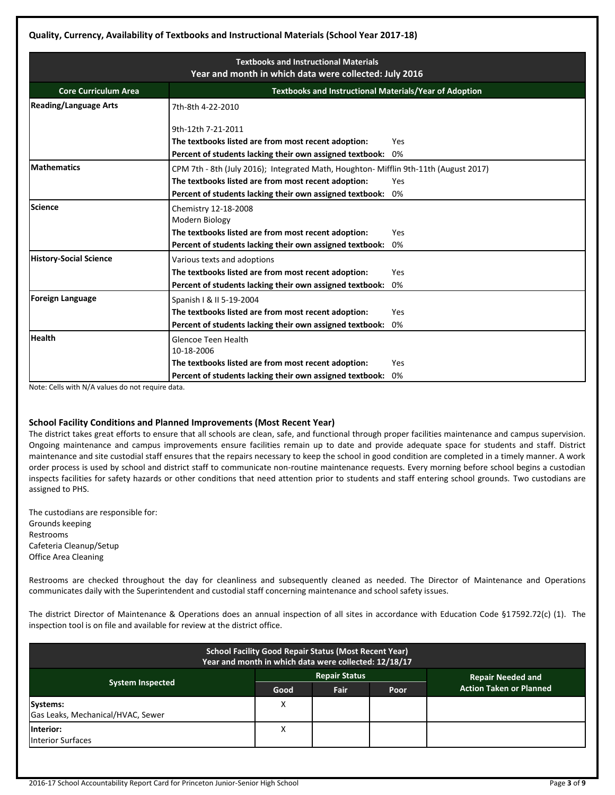### **Quality, Currency, Availability of Textbooks and Instructional Materials (School Year 2017-18)**

| <b>Textbooks and Instructional Materials</b> |                                                                                                                         |     |  |  |  |  |
|----------------------------------------------|-------------------------------------------------------------------------------------------------------------------------|-----|--|--|--|--|
| <b>Core Curriculum Area</b>                  | Year and month in which data were collected: July 2016<br><b>Textbooks and Instructional Materials/Year of Adoption</b> |     |  |  |  |  |
| <b>Reading/Language Arts</b>                 | 7th-8th 4-22-2010                                                                                                       |     |  |  |  |  |
|                                              | 9th-12th 7-21-2011                                                                                                      |     |  |  |  |  |
|                                              | The textbooks listed are from most recent adoption:                                                                     | Yes |  |  |  |  |
|                                              | Percent of students lacking their own assigned textbook:                                                                | 0%  |  |  |  |  |
| <b>Mathematics</b>                           | CPM 7th - 8th (July 2016); Integrated Math, Houghton- Mifflin 9th-11th (August 2017)                                    |     |  |  |  |  |
|                                              | The textbooks listed are from most recent adoption:                                                                     | Yes |  |  |  |  |
|                                              | Percent of students lacking their own assigned textbook:                                                                | 0%  |  |  |  |  |
| <b>Science</b>                               | Chemistry 12-18-2008                                                                                                    |     |  |  |  |  |
|                                              | Modern Biology                                                                                                          |     |  |  |  |  |
|                                              | The textbooks listed are from most recent adoption:                                                                     | Yes |  |  |  |  |
|                                              | Percent of students lacking their own assigned textbook:                                                                | 0%  |  |  |  |  |
| <b>History-Social Science</b>                | Various texts and adoptions                                                                                             |     |  |  |  |  |
|                                              | The textbooks listed are from most recent adoption:                                                                     | Yes |  |  |  |  |
|                                              | Percent of students lacking their own assigned textbook:                                                                | 0%  |  |  |  |  |
| <b>Foreign Language</b>                      | Spanish   & II 5-19-2004                                                                                                |     |  |  |  |  |
|                                              | The textbooks listed are from most recent adoption:                                                                     | Yes |  |  |  |  |
|                                              | Percent of students lacking their own assigned textbook:                                                                | 0%  |  |  |  |  |
| <b>Health</b>                                | Glencoe Teen Health                                                                                                     |     |  |  |  |  |
|                                              | 10-18-2006                                                                                                              |     |  |  |  |  |
|                                              | The textbooks listed are from most recent adoption:                                                                     | Yes |  |  |  |  |
|                                              | Percent of students lacking their own assigned textbook:                                                                | 0%  |  |  |  |  |

Note: Cells with N/A values do not require data.

### **School Facility Conditions and Planned Improvements (Most Recent Year)**

The district takes great efforts to ensure that all schools are clean, safe, and functional through proper facilities maintenance and campus supervision. Ongoing maintenance and campus improvements ensure facilities remain up to date and provide adequate space for students and staff. District maintenance and site custodial staff ensures that the repairs necessary to keep the school in good condition are completed in a timely manner. A work order process is used by school and district staff to communicate non-routine maintenance requests. Every morning before school begins a custodian inspects facilities for safety hazards or other conditions that need attention prior to students and staff entering school grounds. Two custodians are assigned to PHS.

The custodians are responsible for: Grounds keeping Restrooms Cafeteria Cleanup/Setup Office Area Cleaning

Restrooms are checked throughout the day for cleanliness and subsequently cleaned as needed. The Director of Maintenance and Operations communicates daily with the Superintendent and custodial staff concerning maintenance and school safety issues.

The district Director of Maintenance & Operations does an annual inspection of all sites in accordance with Education Code §17592.72(c) (1). The inspection tool is on file and available for review at the district office.

| <b>School Facility Good Repair Status (Most Recent Year)</b><br>Year and month in which data were collected: 12/18/17 |      |      |      |                                |  |  |
|-----------------------------------------------------------------------------------------------------------------------|------|------|------|--------------------------------|--|--|
| <b>Repair Status</b><br><b>Repair Needed and</b>                                                                      |      |      |      |                                |  |  |
| <b>System Inspected</b>                                                                                               | Good | Fair | Poor | <b>Action Taken or Planned</b> |  |  |
| Systems:                                                                                                              | X    |      |      |                                |  |  |
| Gas Leaks, Mechanical/HVAC, Sewer                                                                                     |      |      |      |                                |  |  |
| Interior:<br><b>Interior Surfaces</b>                                                                                 | X    |      |      |                                |  |  |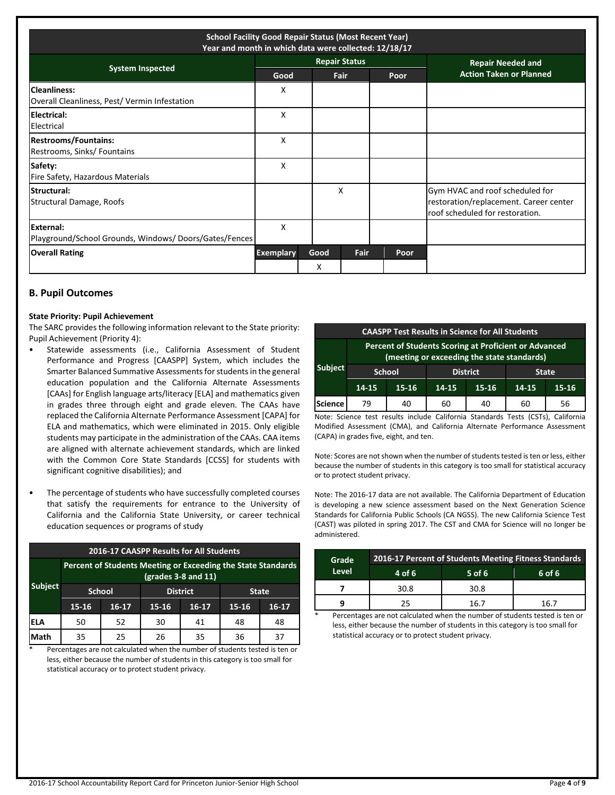| <b>School Facility Good Repair Status (Most Recent Year)</b><br>Year and month in which data were collected: 12/18/17 |                             |  |      |                      |  |                                |                                                                                                              |
|-----------------------------------------------------------------------------------------------------------------------|-----------------------------|--|------|----------------------|--|--------------------------------|--------------------------------------------------------------------------------------------------------------|
| <b>System Inspected</b>                                                                                               |                             |  |      | <b>Repair Status</b> |  |                                | <b>Repair Needed and</b>                                                                                     |
|                                                                                                                       | Good<br><b>Fair</b><br>Poor |  |      |                      |  | <b>Action Taken or Planned</b> |                                                                                                              |
| <b>Cleanliness:</b><br>Overall Cleanliness, Pest/Vermin Infestation                                                   | X                           |  |      |                      |  |                                |                                                                                                              |
| Electrical:<br>Electrical                                                                                             | X                           |  |      |                      |  |                                |                                                                                                              |
| <b>Restrooms/Fountains:</b><br>Restrooms, Sinks/ Fountains                                                            | X                           |  |      |                      |  |                                |                                                                                                              |
| Safety:<br>Fire Safety, Hazardous Materials                                                                           | X                           |  |      |                      |  |                                |                                                                                                              |
| Structural:<br>Structural Damage, Roofs                                                                               |                             |  |      | X                    |  |                                | Gym HVAC and roof scheduled for<br>restoration/replacement. Career center<br>roof scheduled for restoration. |
| External:<br>Playground/School Grounds, Windows/Doors/Gates/Fences                                                    | X                           |  |      |                      |  |                                |                                                                                                              |
| <b>Overall Rating</b>                                                                                                 | <b>Exemplary</b>            |  | Good | Fair                 |  | Poor                           |                                                                                                              |
|                                                                                                                       |                             |  | x    |                      |  |                                |                                                                                                              |

### **B. Pupil Outcomes**

#### **State Priority: Pupil Achievement**

The SARC provides the following information relevant to the State priority: Pupil Achievement (Priority 4):

- Statewide assessments (i.e., California Assessment of Student Performance and Progress [CAASPP] System, which includes the Smarter Balanced Summative Assessments for students in the general education population and the California Alternate Assessments [CAAs] for English language arts/literacy [ELA] and mathematics given in grades three through eight and grade eleven. The CAAs have replaced the California Alternate Performance Assessment [CAPA] for ELA and mathematics, which were eliminated in 2015. Only eligible students may participate in the administration of the CAAs. CAA items are aligned with alternate achievement standards, which are linked with the Common Core State Standards [CCSS] for students with significant cognitive disabilities); and
- The percentage of students who have successfully completed courses that satisfy the requirements for entrance to the University of California and the California State University, or career technical education sequences or programs of study

| <b>2016-17 CAASPP Results for All Students</b> |                                                                                       |         |           |                 |              |       |  |  |  |
|------------------------------------------------|---------------------------------------------------------------------------------------|---------|-----------|-----------------|--------------|-------|--|--|--|
|                                                | Percent of Students Meeting or Exceeding the State Standards<br>$(grades 3-8 and 11)$ |         |           |                 |              |       |  |  |  |
| <b>Subject</b>                                 | <b>School</b>                                                                         |         |           | <b>District</b> | <b>State</b> |       |  |  |  |
|                                                | $15 - 16$                                                                             | $16-17$ | $15 - 16$ | $16-17$         | $15 - 16$    | 16-17 |  |  |  |
| ELA                                            | 50                                                                                    | 52      | 30        | 41              | 48           | 48    |  |  |  |
| Math                                           | 35                                                                                    | 25      | 26        | 35              | 36           |       |  |  |  |

Percentages are not calculated when the number of students tested is ten or less, either because the number of students in this category is too small for statistical accuracy or to protect student privacy.

| <b>CAASPP Test Results in Science for All Students</b> |                                                                                                     |                 |                                          |    |    |    |  |  |
|--------------------------------------------------------|-----------------------------------------------------------------------------------------------------|-----------------|------------------------------------------|----|----|----|--|--|
|                                                        | Percent of Students Scoring at Proficient or Advanced<br>(meeting or exceeding the state standards) |                 |                                          |    |    |    |  |  |
| <b>Subject</b>                                         | <b>School</b>                                                                                       | <b>District</b> | <b>State</b>                             |    |    |    |  |  |
|                                                        | 14-15                                                                                               | $15 - 16$       | $15 - 16$<br>$15 - 16$<br>14-15<br>14-15 |    |    |    |  |  |
| <b>Science</b>                                         | 79                                                                                                  | 40              | 60                                       | 40 | 60 | 56 |  |  |

Note: Science test results include California Standards Tests (CSTs), California Modified Assessment (CMA), and California Alternate Performance Assessment (CAPA) in grades five, eight, and ten.

Note: Scores are not shown when the number of students tested is ten or less, either because the number of students in this category is too small for statistical accuracy or to protect student privacy.

Note: The 2016-17 data are not available. The California Department of Education is developing a new science assessment based on the Next Generation Science Standards for California Public Schools (CA NGSS). The new California Science Test (CAST) was piloted in spring 2017. The CST and CMA for Science will no longer be administered.

| Grade | 2016-17 Percent of Students Meeting Fitness Standards |          |        |  |  |  |
|-------|-------------------------------------------------------|----------|--------|--|--|--|
| Level | 4 of 6                                                | $5$ of 6 | 6 of 6 |  |  |  |
|       | 30.8                                                  | 30.8     |        |  |  |  |
|       | 25                                                    | 16 7     | 16 7   |  |  |  |

Percentages are not calculated when the number of students tested is ten or less, either because the number of students in this category is too small for statistical accuracy or to protect student privacy.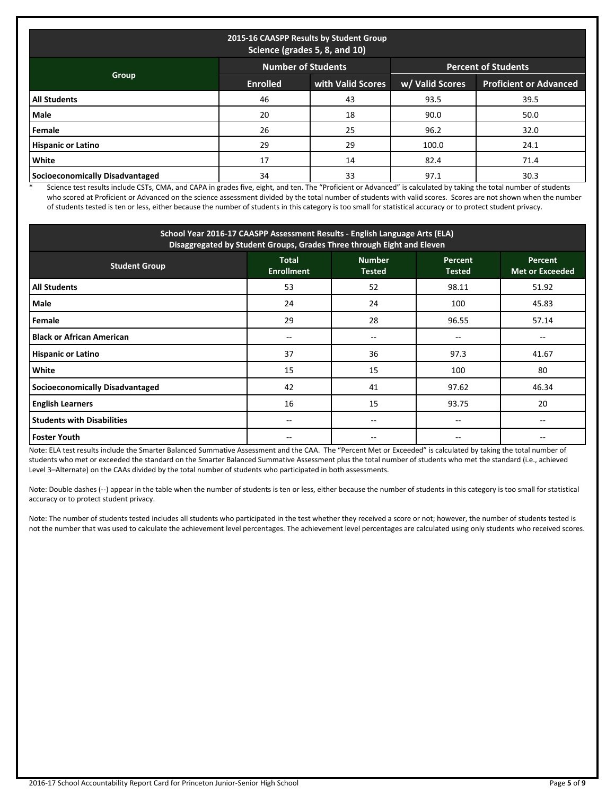| 2015-16 CAASPP Results by Student Group<br>Science (grades 5, 8, and 10) |                 |                   |                 |                               |  |  |  |
|--------------------------------------------------------------------------|-----------------|-------------------|-----------------|-------------------------------|--|--|--|
| <b>Number of Students</b><br><b>Percent of Students</b>                  |                 |                   |                 |                               |  |  |  |
| Group                                                                    | <b>Enrolled</b> | with Valid Scores | w/ Valid Scores | <b>Proficient or Advanced</b> |  |  |  |
| <b>All Students</b>                                                      | 46              | 43                | 93.5            | 39.5                          |  |  |  |
| Male                                                                     | 20              | 18                | 90.0            | 50.0                          |  |  |  |
| Female                                                                   | 26              | 25                | 96.2            | 32.0                          |  |  |  |
| <b>Hispanic or Latino</b>                                                | 29              | 29                | 100.0           | 24.1                          |  |  |  |
| White                                                                    | 17              | 14                | 82.4            | 71.4                          |  |  |  |
| <b>Socioeconomically Disadvantaged</b>                                   | 34              | 33                | 97.1            | 30.3                          |  |  |  |

\* Science test results include CSTs, CMA, and CAPA in grades five, eight, and ten. The "Proficient or Advanced" is calculated by taking the total number of students who scored at Proficient or Advanced on the science assessment divided by the total number of students with valid scores. Scores are not shown when the number of students tested is ten or less, either because the number of students in this category is too small for statistical accuracy or to protect student privacy.

| School Year 2016-17 CAASPP Assessment Results - English Language Arts (ELA)<br>Disaggregated by Student Groups, Grades Three through Eight and Eleven                      |       |       |       |       |  |  |  |  |  |
|----------------------------------------------------------------------------------------------------------------------------------------------------------------------------|-------|-------|-------|-------|--|--|--|--|--|
| <b>Total</b><br><b>Number</b><br><b>Percent</b><br><b>Percent</b><br><b>Student Group</b><br><b>Enrollment</b><br><b>Met or Exceeded</b><br><b>Tested</b><br><b>Tested</b> |       |       |       |       |  |  |  |  |  |
| <b>All Students</b>                                                                                                                                                        | 53    | 52    | 98.11 | 51.92 |  |  |  |  |  |
| Male                                                                                                                                                                       | 24    | 24    | 100   | 45.83 |  |  |  |  |  |
| Female                                                                                                                                                                     | 29    | 28    | 96.55 | 57.14 |  |  |  |  |  |
| <b>Black or African American</b>                                                                                                                                           | --    | --    |       |       |  |  |  |  |  |
| <b>Hispanic or Latino</b>                                                                                                                                                  | 37    | 36    | 97.3  | 41.67 |  |  |  |  |  |
| White                                                                                                                                                                      | 15    | 15    | 100   | 80    |  |  |  |  |  |
| <b>Socioeconomically Disadvantaged</b>                                                                                                                                     | 42    | 41    | 97.62 | 46.34 |  |  |  |  |  |
| <b>English Learners</b>                                                                                                                                                    | 16    | 15    | 93.75 | 20    |  |  |  |  |  |
| <b>Students with Disabilities</b>                                                                                                                                          | $- -$ | $- -$ | $- -$ |       |  |  |  |  |  |
| <b>Foster Youth</b>                                                                                                                                                        |       |       |       |       |  |  |  |  |  |

Note: ELA test results include the Smarter Balanced Summative Assessment and the CAA. The "Percent Met or Exceeded" is calculated by taking the total number of students who met or exceeded the standard on the Smarter Balanced Summative Assessment plus the total number of students who met the standard (i.e., achieved Level 3–Alternate) on the CAAs divided by the total number of students who participated in both assessments.

Note: Double dashes (--) appear in the table when the number of students is ten or less, either because the number of students in this category is too small for statistical accuracy or to protect student privacy.

Note: The number of students tested includes all students who participated in the test whether they received a score or not; however, the number of students tested is not the number that was used to calculate the achievement level percentages. The achievement level percentages are calculated using only students who received scores.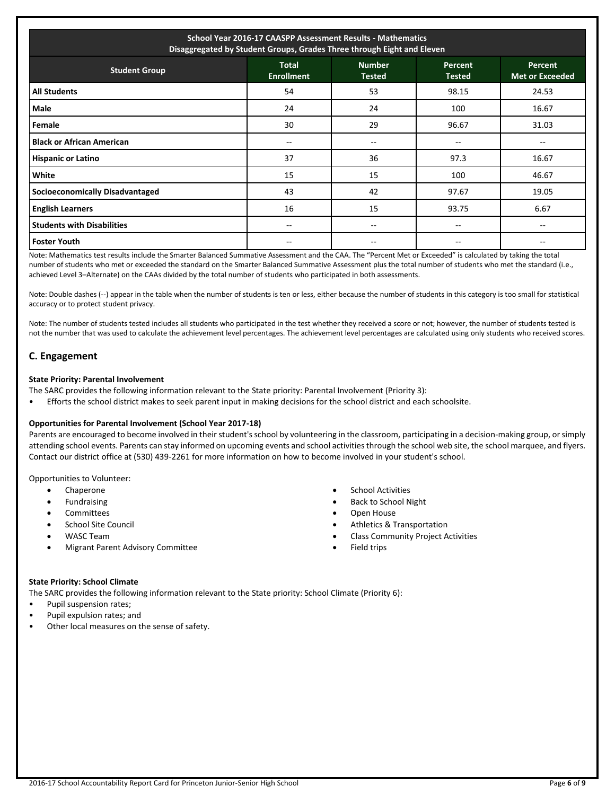| School Year 2016-17 CAASPP Assessment Results - Mathematics<br>Disaggregated by Student Groups, Grades Three through Eight and Eleven                                      |    |       |       |       |  |  |  |
|----------------------------------------------------------------------------------------------------------------------------------------------------------------------------|----|-------|-------|-------|--|--|--|
| <b>Total</b><br><b>Number</b><br><b>Percent</b><br><b>Percent</b><br><b>Student Group</b><br><b>Enrollment</b><br><b>Tested</b><br><b>Met or Exceeded</b><br><b>Tested</b> |    |       |       |       |  |  |  |
| <b>All Students</b>                                                                                                                                                        | 54 | 53    | 98.15 | 24.53 |  |  |  |
| Male                                                                                                                                                                       | 24 | 24    | 100   | 16.67 |  |  |  |
| <b>Female</b>                                                                                                                                                              | 30 | 29    | 96.67 | 31.03 |  |  |  |
| <b>Black or African American</b>                                                                                                                                           | -- | $-$   | $- -$ |       |  |  |  |
| <b>Hispanic or Latino</b>                                                                                                                                                  | 37 | 36    | 97.3  | 16.67 |  |  |  |
| White                                                                                                                                                                      | 15 | 15    | 100   | 46.67 |  |  |  |
| <b>Socioeconomically Disadvantaged</b>                                                                                                                                     | 43 | 42    | 97.67 | 19.05 |  |  |  |
| <b>English Learners</b>                                                                                                                                                    | 16 | 15    | 93.75 | 6.67  |  |  |  |
| <b>Students with Disabilities</b>                                                                                                                                          | -- | $- -$ | --    |       |  |  |  |
| <b>Foster Youth</b>                                                                                                                                                        |    |       | --    |       |  |  |  |

Note: Mathematics test results include the Smarter Balanced Summative Assessment and the CAA. The "Percent Met or Exceeded" is calculated by taking the total number of students who met or exceeded the standard on the Smarter Balanced Summative Assessment plus the total number of students who met the standard (i.e., achieved Level 3–Alternate) on the CAAs divided by the total number of students who participated in both assessments.

Note: Double dashes (--) appear in the table when the number of students is ten or less, either because the number of students in this category is too small for statistical accuracy or to protect student privacy.

Note: The number of students tested includes all students who participated in the test whether they received a score or not; however, the number of students tested is not the number that was used to calculate the achievement level percentages. The achievement level percentages are calculated using only students who received scores.

### **C. Engagement**

#### **State Priority: Parental Involvement**

The SARC provides the following information relevant to the State priority: Parental Involvement (Priority 3):

• Efforts the school district makes to seek parent input in making decisions for the school district and each schoolsite.

#### **Opportunities for Parental Involvement (School Year 2017-18)**

Parents are encouraged to become involved in their student's school by volunteering in the classroom, participating in a decision-making group, or simply attending school events. Parents can stay informed on upcoming events and school activities through the school web site, the school marquee, and flyers. Contact our district office at (530) 439-2261 for more information on how to become involved in your student's school.

Opportunities to Volunteer:

- Chaperone
- Fundraising
- Committees
- School Site Council
- WASC Team
- Migrant Parent Advisory Committee
- School Activities
- Back to School Night
- Open House
- Athletics & Transportation
- Class Community Project Activities
- Field trips

#### **State Priority: School Climate**

The SARC provides the following information relevant to the State priority: School Climate (Priority 6):

- Pupil suspension rates;
- Pupil expulsion rates; and
- Other local measures on the sense of safety.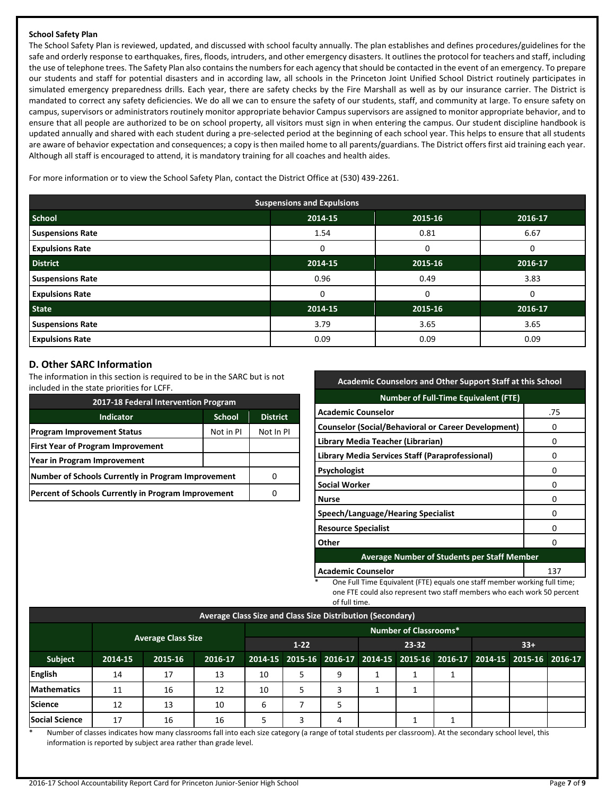### **School Safety Plan**

The School Safety Plan is reviewed, updated, and discussed with school faculty annually. The plan establishes and defines procedures/guidelines for the safe and orderly response to earthquakes, fires, floods, intruders, and other emergency disasters. It outlines the protocol for teachers and staff, including the use of telephone trees. The Safety Plan also contains the numbers for each agency that should be contacted in the event of an emergency. To prepare our students and staff for potential disasters and in according law, all schools in the Princeton Joint Unified School District routinely participates in simulated emergency preparedness drills. Each year, there are safety checks by the Fire Marshall as well as by our insurance carrier. The District is mandated to correct any safety deficiencies. We do all we can to ensure the safety of our students, staff, and community at large. To ensure safety on campus, supervisors or administrators routinely monitor appropriate behavior Campus supervisors are assigned to monitor appropriate behavior, and to ensure that all people are authorized to be on school property, all visitors must sign in when entering the campus. Our student discipline handbook is updated annually and shared with each student during a pre-selected period at the beginning of each school year. This helps to ensure that all students are aware of behavior expectation and consequences; a copy is then mailed home to all parents/guardians. The District offers first aid training each year. Although all staff is encouraged to attend, it is mandatory training for all coaches and health aides.

For more information or to view the School Safety Plan, contact the District Office at (530) 439-2261.

| <b>Suspensions and Expulsions</b> |         |         |         |  |  |
|-----------------------------------|---------|---------|---------|--|--|
| <b>School</b>                     | 2014-15 | 2015-16 | 2016-17 |  |  |
| <b>Suspensions Rate</b>           | 1.54    | 0.81    | 6.67    |  |  |
| <b>Expulsions Rate</b>            | 0       | 0       | 0       |  |  |
| <b>District</b>                   | 2014-15 | 2015-16 | 2016-17 |  |  |
| <b>Suspensions Rate</b>           | 0.96    | 0.49    | 3.83    |  |  |
| <b>Expulsions Rate</b>            | 0       | 0       | 0       |  |  |
| <b>State</b>                      | 2014-15 | 2015-16 | 2016-17 |  |  |
| <b>Suspensions Rate</b>           | 3.79    | 3.65    | 3.65    |  |  |
| <b>Expulsions Rate</b>            | 0.09    | 0.09    | 0.09    |  |  |

### **D. Other SARC Information**

The information in this section is required to be in the SARC but is not included in the state priorities for LCFF.

| 2017-18 Federal Intervention Program                 |           |           |  |  |  |
|------------------------------------------------------|-----------|-----------|--|--|--|
| <b>Indicator</b><br><b>District</b><br><b>School</b> |           |           |  |  |  |
| <b>Program Improvement Status</b>                    | Not in PI | Not In PI |  |  |  |
| <b>First Year of Program Improvement</b>             |           |           |  |  |  |
| Year in Program Improvement                          |           |           |  |  |  |
| Number of Schools Currently in Program Improvement   |           |           |  |  |  |
| Percent of Schools Currently in Program Improvement  |           |           |  |  |  |

| <b>Academic Counselors and Other Support Staff at this School</b> |     |  |  |
|-------------------------------------------------------------------|-----|--|--|
| <b>Number of Full-Time Equivalent (FTE)</b>                       |     |  |  |
| <b>Academic Counselor</b>                                         | .75 |  |  |
| <b>Counselor (Social/Behavioral or Career Development)</b>        | o   |  |  |
| Library Media Teacher (Librarian)                                 | 0   |  |  |
| Library Media Services Staff (Paraprofessional)                   | o   |  |  |
| <b>Psychologist</b>                                               | o   |  |  |
| <b>Social Worker</b>                                              | o   |  |  |
| <b>Nurse</b>                                                      | o   |  |  |
| Speech/Language/Hearing Specialist                                | o   |  |  |
| <b>Resource Specialist</b>                                        | o   |  |  |
| Other<br>ŋ                                                        |     |  |  |
| <b>Average Number of Students per Staff Member</b>                |     |  |  |
| <b>Academic Counselor</b>                                         | 137 |  |  |

One Full Time Equivalent (FTE) equals one staff member working full time; one FTE could also represent two staff members who each work 50 percent of full time.

| Average Class Size and Class Size Distribution (Secondary) |         |                           |         |                              |   |   |                                                                         |  |  |  |  |
|------------------------------------------------------------|---------|---------------------------|---------|------------------------------|---|---|-------------------------------------------------------------------------|--|--|--|--|
| <b>Number of Classrooms*</b>                               |         |                           |         |                              |   |   |                                                                         |  |  |  |  |
|                                                            |         | <b>Average Class Size</b> |         | $33+$<br>$1-22$<br>$23 - 32$ |   |   |                                                                         |  |  |  |  |
| Subject                                                    | 2014-15 | 2015-16                   | 2016-17 |                              |   |   | 2014-15 2015-16 2016-17 2014-15 2015-16 2016-17 2014-15 2015-16 2016-17 |  |  |  |  |
| English                                                    | 14      | 17                        | 13      | 10                           | 5 | 9 |                                                                         |  |  |  |  |
| <b>Mathematics</b>                                         | 11      | 16                        | 12      | 10                           | 5 |   |                                                                         |  |  |  |  |
| Science                                                    | 12      | 13                        | 10      | 6                            |   |   |                                                                         |  |  |  |  |
| <b>Social Science</b>                                      | 17      | 16                        | 16      | 5                            | 3 | 4 |                                                                         |  |  |  |  |

\* Number of classes indicates how many classrooms fall into each size category (a range of total students per classroom). At the secondary school level, this information is reported by subject area rather than grade level.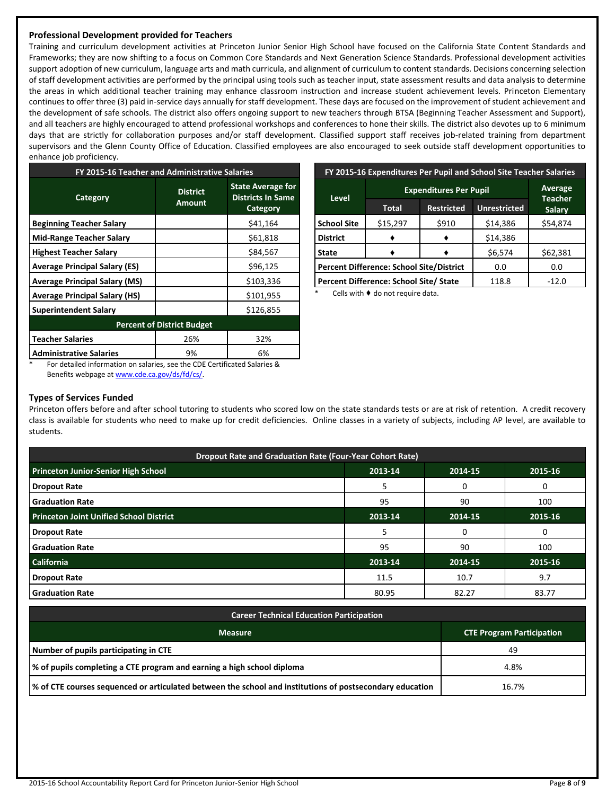### **Professional Development provided for Teachers**

Training and curriculum development activities at Princeton Junior Senior High School have focused on the California State Content Standards and Frameworks; they are now shifting to a focus on Common Core Standards and Next Generation Science Standards. Professional development activities support adoption of new curriculum, language arts and math curricula, and alignment of curriculum to content standards. Decisions concerning selection of staff development activities are performed by the principal using tools such as teacher input, state assessment results and data analysis to determine the areas in which additional teacher training may enhance classroom instruction and increase student achievement levels. Princeton Elementary continues to offer three (3) paid in-service days annually for staff development. These days are focused on the improvement of student achievement and the development of safe schools. The district also offers ongoing support to new teachers through BTSA (Beginning Teacher Assessment and Support), and all teachers are highly encouraged to attend professional workshops and conferences to hone their skills. The district also devotes up to 6 minimum days that are strictly for collaboration purposes and/or staff development. Classified support staff receives job-related training from department supervisors and the Glenn County Office of Education. Classified employees are also encouraged to seek outside staff development opportunities to enhance job proficiency.

| FY 2015-16 Teacher and Administrative Salaries |                           |                                                                  |  |  |  |
|------------------------------------------------|---------------------------|------------------------------------------------------------------|--|--|--|
| Category                                       | <b>District</b><br>Amount | <b>State Average for</b><br><b>Districts In Same</b><br>Category |  |  |  |
| <b>Beginning Teacher Salary</b>                |                           | \$41,164                                                         |  |  |  |
| <b>Mid-Range Teacher Salary</b>                |                           | \$61,818                                                         |  |  |  |
| <b>Highest Teacher Salary</b>                  |                           | \$84,567                                                         |  |  |  |
| <b>Average Principal Salary (ES)</b>           |                           | \$96,125                                                         |  |  |  |
| <b>Average Principal Salary (MS)</b>           |                           | \$103,336                                                        |  |  |  |
| <b>Average Principal Salary (HS)</b>           |                           | \$101,955                                                        |  |  |  |
| <b>Superintendent Salary</b>                   |                           | \$126,855                                                        |  |  |  |
| <b>Percent of District Budget</b>              |                           |                                                                  |  |  |  |
| <b>Teacher Salaries</b>                        | 26%                       | 32%                                                              |  |  |  |
| <b>Administrative Salaries</b>                 | 9%                        | 6%                                                               |  |  |  |

| FY 2015-16 Expenditures Per Pupil and School Site Teacher Salaries |              |                                 |          |          |  |
|--------------------------------------------------------------------|--------------|---------------------------------|----------|----------|--|
|                                                                    | Average      |                                 |          |          |  |
| Level                                                              | <b>Total</b> | <b>Teacher</b><br><b>Salary</b> |          |          |  |
| <b>School Site</b>                                                 | \$15,297     | \$910                           | \$14,386 | \$54,874 |  |
| <b>District</b>                                                    |              |                                 | \$14,386 |          |  |
| <b>State</b>                                                       |              |                                 | \$6,574  | \$62,381 |  |
| <b>Percent Difference: School Site/District</b>                    |              | 0.0                             | 0.0      |          |  |
| Percent Difference: School Site/ State                             |              |                                 | 118.8    | $-12.0$  |  |

Cells with  $\blacklozenge$  do not require data.

For detailed information on salaries, see the CDE Certificated Salaries & Benefits webpage a[t www.cde.ca.gov/ds/fd/cs/.](http://www.cde.ca.gov/ds/fd/cs/)

### **Types of Services Funded**

Princeton offers before and after school tutoring to students who scored low on the state standards tests or are at risk of retention. A credit recovery class is available for students who need to make up for credit deficiencies. Online classes in a variety of subjects, including AP level, are available to students.

| Dropout Rate and Graduation Rate (Four-Year Cohort Rate) |         |         |         |  |  |
|----------------------------------------------------------|---------|---------|---------|--|--|
| <b>Princeton Junior-Senior High School</b>               | 2013-14 | 2014-15 | 2015-16 |  |  |
| <b>Dropout Rate</b>                                      | 5       | 0       | 0       |  |  |
| <b>Graduation Rate</b>                                   | 95      | 90      | 100     |  |  |
| <b>Princeton Joint Unified School District</b>           | 2013-14 | 2014-15 | 2015-16 |  |  |
| <b>Dropout Rate</b>                                      |         | 0       | 0       |  |  |
| <b>Graduation Rate</b>                                   | 95      | 90      | 100     |  |  |
| <b>California</b>                                        | 2013-14 | 2014-15 | 2015-16 |  |  |
| <b>Dropout Rate</b>                                      | 11.5    | 10.7    | 9.7     |  |  |
| <b>Graduation Rate</b>                                   | 80.95   | 82.27   | 83.77   |  |  |

| <b>Career Technical Education Participation</b>                                                          |                                  |  |  |  |
|----------------------------------------------------------------------------------------------------------|----------------------------------|--|--|--|
| <b>Measure</b>                                                                                           | <b>CTE Program Participation</b> |  |  |  |
| Number of pupils participating in CTE                                                                    | 49                               |  |  |  |
| % of pupils completing a CTE program and earning a high school diploma                                   | 4.8%                             |  |  |  |
| √ of CTE courses sequenced or articulated between the school and institutions of postsecondary education | 16.7%                            |  |  |  |